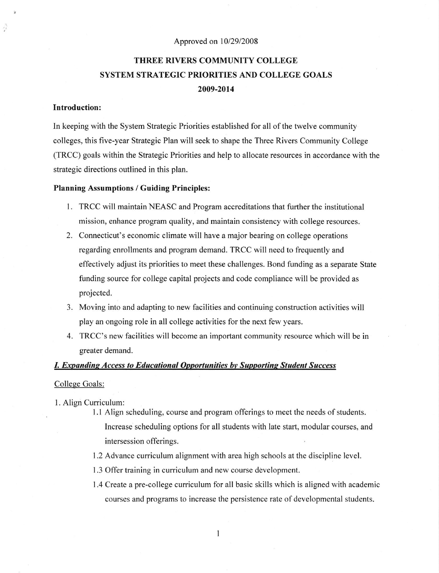#### Approved on 10/29/2008

# THREE RIVERS COMMUNITY COLLEGE SYSTEM STRATEGIC PRIORITIES AND COLLEGE GOALS 2009-2014

## Introduction:

ĝ

In keeping with the System Strategic Priorities established for all ofthe twelve community colleges, this five-year Strategic Plan wilI seek to shape the Three Rivers Community College (TRCC) goals within the Strategic Priorities and help to allocate resources in accordance with the strategic directions outlined in this plan.

#### Planning Assumptions / Guiding Principles:

- l. TRCC will maintain NEASC and Program accreditations that further the institutional mission, enhance program quality, and maintain consistency with college resources.
- 2. Connecticut's economic climate will have a major bearing on college operations regarding enrollments and program demand. TRCC will need to frequently and effectively adjust its priorities to meet these challenges. Bond funding as a separate State funding source for college capital projects and code compliance will be provided as projected.
- 3. Moving into and adapting to new facilities and continuing construction activities will play an ongoing role in all college activities for the next few years.
- 4. TRCC's new facilities will become an important community resource which will be in greater demand.

### **I. Expanding Access to Educational Opportunities by Supporting Student Success**

#### College Goals:

- 1. Align Curriculum:
	- <sup>I</sup>.l Align scheduling, course and program offerings to meet the needs of students. Increase scheduling options for all students with late start, modular courses, and intersession offerings.
	- 1.2 Advance curriculum alignment with area high schools at the discipline level.
	- 1.3 Offer training in curriculum and new course development.
	- 1.4 Create a pre-college curriculum for all basic skills which is aligned with academic courses and programs to increase the persistence rate of developmentaI students.

 $\mathbf{1}$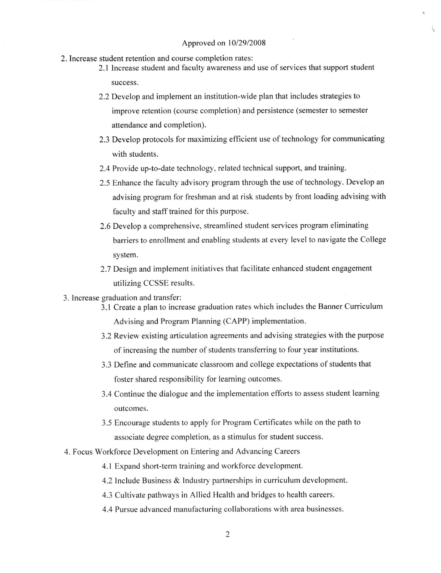- 2. Increase student retention and course completion rates:
	- 2.1 Increase student and faculty awareness and use of services that support student success.
	- 2.2 Develop and implement an institution-wide plan that includes strategies to improve retention (course completion) and persistence (semester to semester attendance and completion).
	- 2.3 Develop protocols for maximizing efficient use of technology for communicating with students.
	- 2.4 Provide up-to-date technology, related technical support, and training.
	- 2.5 Enhance the faculty advisory program through the use of technology. Develop an advising program for freshman and at risk students by front loading advising with faculty and staff trained for this purpose.
	- 2.6 Develop a comprehensive, streamlined student services program eliminating barriers to enrollment and enabling students at every level to navigate the College system.
	- 2.7 Design and implement initiatives that facilitate enhanced student engagement utilizing CCSSE results.
- 3. Increase graduation and transfer:
	- 3.1 Create a plan to increase graduation rates which includes the Banner Curriculum Advising and Program Planning (CAPP) implementation.
		- 3.2 Review existing articulation agreements and advising strategies with the purpose of increasing the number of students transferring to four year institutions.
		- 3.3 Define and communicate classroom and college expectations of students that foster shared responsibility for learning outcomes.
		- 3.4 Continue the dialogue and the implementation efforts to assess student leaming outcomes.
		- 3.5 Encourage students to apply for Program Certificates while on the path to associate degree completion, as a stimulus for student success.
- 4. Focus Workforce Development on Entering and Advancing Careers
	- 4.1 Expand short-term training and workforce development.
	- 4.2 Include Business & Industry partnerships in curriculum development.

4.3 Cultivate pathways in Allied Health and bridges to health careers.

4.4 Pursue advanced manufacturing collaborations with area businesses.